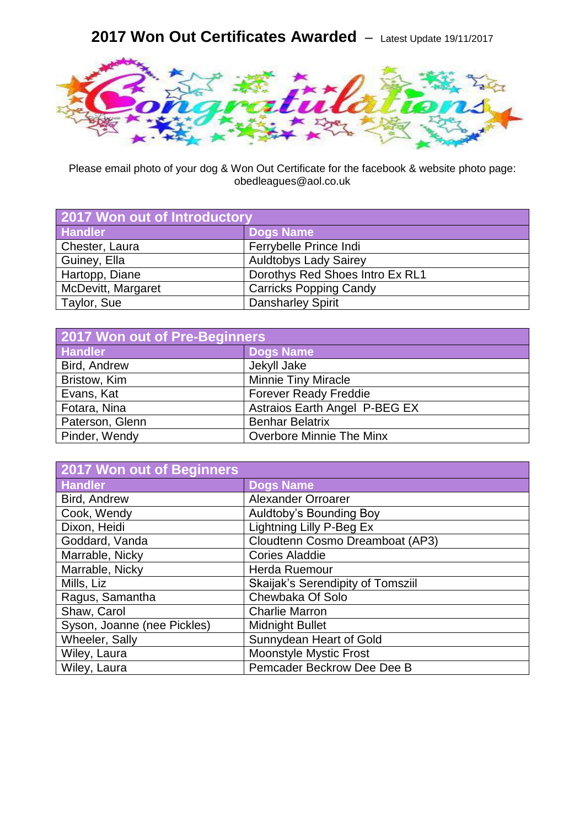## **2017 Won Out Certificates Awarded** – Latest Update 19/11/2017



Please email photo of your dog & Won Out Certificate for the facebook & website photo page: obedleagues@aol.co.uk

| 2017 Won out of Introductory |                                 |
|------------------------------|---------------------------------|
| <b>Handler</b>               | <b>Dogs Name</b>                |
| Chester, Laura               | Ferrybelle Prince Indi          |
| Guiney, Ella                 | <b>Auldtobys Lady Sairey</b>    |
| Hartopp, Diane               | Dorothys Red Shoes Intro Ex RL1 |
| McDevitt, Margaret           | <b>Carricks Popping Candy</b>   |
| Taylor, Sue                  | <b>Dansharley Spirit</b>        |

| 2017 Won out of Pre-Beginners |                                 |  |
|-------------------------------|---------------------------------|--|
| <b>Handler</b>                | Dogs Name                       |  |
| Bird, Andrew                  | Jekyll Jake                     |  |
| Bristow, Kim                  | <b>Minnie Tiny Miracle</b>      |  |
| Evans, Kat                    | <b>Forever Ready Freddie</b>    |  |
| Fotara, Nina                  | Astraios Earth Angel P-BEG EX   |  |
| Paterson, Glenn               | <b>Benhar Belatrix</b>          |  |
| Pinder, Wendy                 | <b>Overbore Minnie The Minx</b> |  |

| <b>2017 Won out of Beginners</b> |                                   |
|----------------------------------|-----------------------------------|
| <b>Handler</b>                   | <b>Dogs Name</b>                  |
| Bird, Andrew                     | Alexander Orroarer                |
| Cook, Wendy                      | Auldtoby's Bounding Boy           |
| Dixon, Heidi                     | Lightning Lilly P-Beg Ex          |
| Goddard, Vanda                   | Cloudtenn Cosmo Dreamboat (AP3)   |
| Marrable, Nicky                  | <b>Cories Aladdie</b>             |
| Marrable, Nicky                  | Herda Ruemour                     |
| Mills, Liz                       | Skaijak's Serendipity of Tomsziil |
| Ragus, Samantha                  | Chewbaka Of Solo                  |
| Shaw, Carol                      | <b>Charlie Marron</b>             |
| Syson, Joanne (nee Pickles)      | <b>Midnight Bullet</b>            |
| Wheeler, Sally                   | Sunnydean Heart of Gold           |
| Wiley, Laura                     | <b>Moonstyle Mystic Frost</b>     |
| Wiley, Laura                     | Pemcader Beckrow Dee Dee B        |